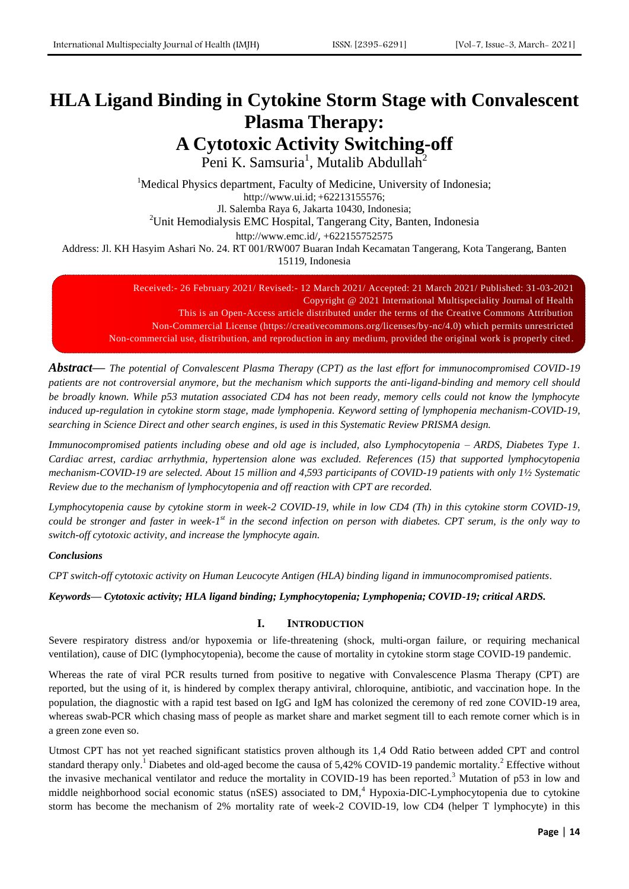# **HLA Ligand Binding in Cytokine Storm Stage with Convalescent Plasma Therapy: A Cytotoxic Activity Switching-off**

Peni K. Samsuria<sup>1</sup>, Mutalib Abdullah<sup>2</sup>

<sup>1</sup>Medical Physics department, Faculty of Medicine, University of Indonesia; http://www.ui.id; +62213155576; Jl. Salemba Raya 6, Jakarta 10430, Indonesia; <sup>2</sup>Unit Hemodialysis EMC Hospital, Tangerang City, Banten, Indonesia <http://www.emc.id/>, +622155752575

Address: Jl. KH Hasyim Ashari No. 24. RT 001/RW007 Buaran Indah Kecamatan Tangerang, Kota Tangerang, Banten 15119, Indonesia

Received:- 26 February 2021/ Revised:- 12 March 2021/ Accepted: 21 March 2021/ Published: 31-03-2021 Copyright @ 2021 International Multispeciality Journal of Health This is an Open-Access article distributed under the terms of the Creative Commons Attribution Non-Commercial License (https://creativecommons.org/licenses/by-nc/4.0) which permits unrestricted Non-commercial use, distribution, and reproduction in any medium, provided the original work is properly cited.

*Abstract***—** *The potential of Convalescent Plasma Therapy (CPT) as the last effort for immunocompromised COVID-19 patients are not controversial anymore, but the mechanism which supports the anti-ligand-binding and memory cell should be broadly known. While p53 mutation associated CD4 has not been ready, memory cells could not know the lymphocyte induced up-regulation in cytokine storm stage, made lymphopenia. Keyword setting of lymphopenia mechanism-COVID-19, searching in Science Direct and other search engines, is used in this Systematic Review PRISMA design.*

*Immunocompromised patients including obese and old age is included, also Lymphocytopenia – ARDS, Diabetes Type 1. Cardiac arrest, cardiac arrhythmia, hypertension alone was excluded. References (15) that supported lymphocytopenia mechanism-COVID-19 are selected. About 15 million and 4,593 participants of COVID-19 patients with only 1½ Systematic Review due to the mechanism of lymphocytopenia and off reaction with CPT are recorded.*

*Lymphocytopenia cause by cytokine storm in week-2 COVID-19, while in low CD4 (Th) in this cytokine storm COVID-19,*  could be stronger and faster in week-1<sup>st</sup> in the second infection on person with diabetes. CPT serum, is the only way to *switch-off cytotoxic activity, and increase the lymphocyte again.*

# *Conclusions*

*CPT switch-off cytotoxic activity on Human Leucocyte Antigen (HLA) binding ligand in immunocompromised patients.*

*Keywords— Cytotoxic activity; HLA ligand binding; Lymphocytopenia; Lymphopenia; COVID-19; critical ARDS.*

# **I. INTRODUCTION**

Severe respiratory distress and/or hypoxemia or life-threatening (shock, multi-organ failure, or requiring mechanical ventilation), cause of DIC (lymphocytopenia), become the cause of mortality in cytokine storm stage COVID-19 pandemic.

Whereas the rate of viral PCR results turned from positive to negative with Convalescence Plasma Therapy (CPT) are reported, but the using of it, is hindered by complex therapy antiviral, chloroquine, antibiotic, and vaccination hope. In the population, the diagnostic with a rapid test based on IgG and IgM has colonized the ceremony of red zone COVID-19 area, whereas swab-PCR which chasing mass of people as market share and market segment till to each remote corner which is in a green zone even so.

Utmost CPT has not yet reached significant statistics proven although its 1,4 Odd Ratio between added CPT and control standard therapy only.<sup>1</sup> Diabetes and old-aged become the causa of 5,42% COVID-19 pandemic mortality.<sup>2</sup> Effective without the invasive mechanical ventilator and reduce the mortality in COVID-19 has been reported.<sup>3</sup> Mutation of p53 in low and middle neighborhood social economic status ( $nSES$ ) associated to  $DM<sub>1</sub><sup>4</sup> Hypoxia-DIC-Lymphocytopenia due to cytokine$ storm has become the mechanism of 2% mortality rate of week-2 COVID-19, low CD4 (helper T lymphocyte) in this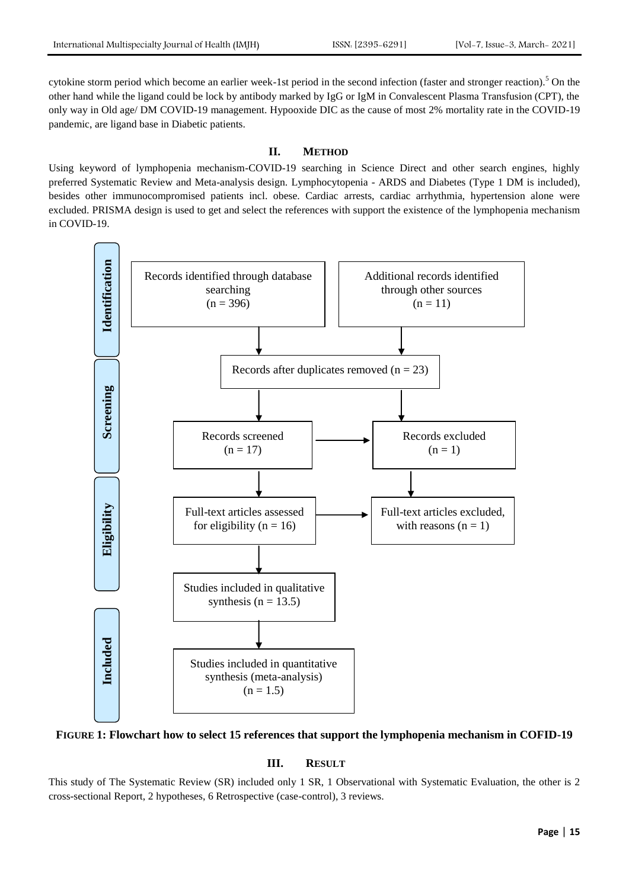cytokine storm period which become an earlier week-1st period in the second infection (faster and stronger reaction).<sup>5</sup> On the other hand while the ligand could be lock by antibody marked by IgG or IgM in Convalescent Plasma Transfusion (CPT), the only way in Old age/ DM COVID-19 management. Hypooxide DIC as the cause of most 2% mortality rate in the COVID-19 pandemic, are ligand base in Diabetic patients.

#### **II. METHOD**

Using keyword of lymphopenia mechanism-COVID-19 searching in Science Direct and other search engines, highly preferred Systematic Review and Meta-analysis design. Lymphocytopenia - ARDS and Diabetes (Type 1 DM is included), besides other immunocompromised patients incl. obese. Cardiac arrests, cardiac arrhythmia, hypertension alone were excluded. PRISMA design is used to get and select the references with support the existence of the lymphopenia mechanism in COVID-19.



**FIGURE 1: Flowchart how to select 15 references that support the lymphopenia mechanism in COFID-19**

## **III. RESULT**

This study of The Systematic Review (SR) included only 1 SR, 1 Observational with Systematic Evaluation, the other is 2 cross-sectional Report, 2 hypotheses, 6 Retrospective (case-control), 3 reviews.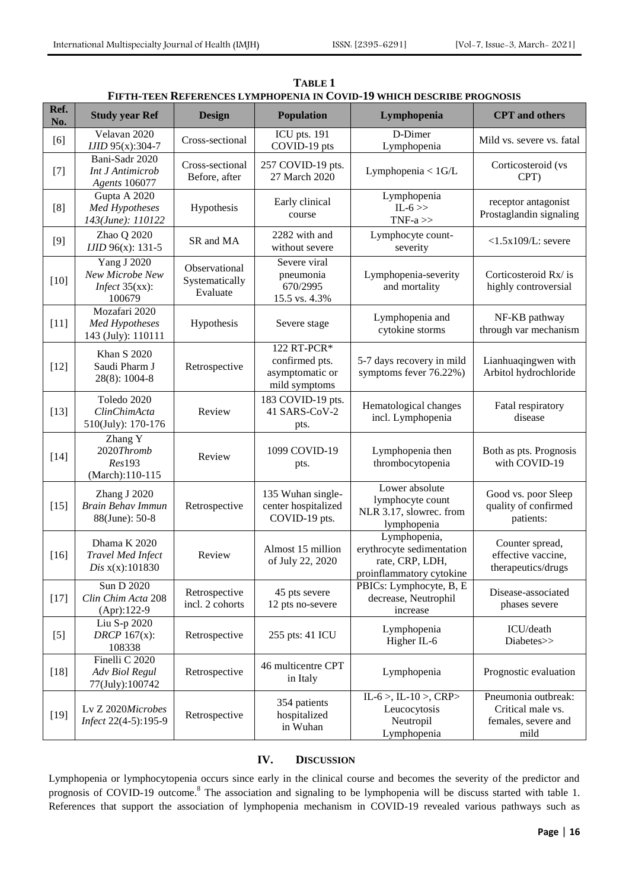|             | <u>F IFTH-TEEN KEFEKENCES LYMPHOPENIA IN COVID-19 WHICH DESCKIBE PROGNOSIS</u> |                                             |                                                                   |                                                                                          |                                                                         |  |
|-------------|--------------------------------------------------------------------------------|---------------------------------------------|-------------------------------------------------------------------|------------------------------------------------------------------------------------------|-------------------------------------------------------------------------|--|
| Ref.<br>No. | <b>Study year Ref</b>                                                          | <b>Design</b>                               | <b>Population</b>                                                 | Lymphopenia                                                                              | <b>CPT</b> and others                                                   |  |
| [6]         | Velavan 2020<br>IJID 95(x):304-7                                               | Cross-sectional                             | ICU pts. 191<br>COVID-19 pts                                      | D-Dimer<br>Lymphopenia                                                                   | Mild vs. severe vs. fatal                                               |  |
| $[7]$       | Bani-Sadr 2020<br><b>Int J Antimicrob</b><br><b>Agents</b> 106077              | Cross-sectional<br>Before, after            | 257 COVID-19 pts.<br>27 March 2020                                | Lymphopenia < $1$ G/L                                                                    | Corticosteroid (vs<br>CPT)                                              |  |
| [8]         | Gupta A 2020<br>Med Hypotheses<br>143(June): 110122                            | Hypothesis                                  | Early clinical<br>course                                          | Lymphopenia<br>$IL-6$<br>TNF- $a \gg$                                                    | receptor antagonist<br>Prostaglandin signaling                          |  |
| [9]         | Zhao Q 2020<br>IJID 96(x): 131-5                                               | SR and MA                                   | 2282 with and<br>without severe                                   | Lymphocyte count-<br>severity                                                            | $<$ 1.5x109/L: severe                                                   |  |
| $[10]$      | Yang J 2020<br>New Microbe New<br>Infect $35(xx)$ :<br>100679                  | Observational<br>Systematically<br>Evaluate | Severe viral<br>pneumonia<br>670/2995<br>15.5 vs. 4.3%            | Lymphopenia-severity<br>and mortality                                                    | Corticosteroid Rx/is<br>highly controversial                            |  |
| $[11]$      | Mozafari 2020<br>Med Hypotheses<br>143 (July): 110111                          | Hypothesis                                  | Severe stage                                                      | Lymphopenia and<br>cytokine storms                                                       | NF-KB pathway<br>through var mechanism                                  |  |
| $[12]$      | <b>Khan S 2020</b><br>Saudi Pharm J<br>28(8): 1004-8                           | Retrospective                               | 122 RT-PCR*<br>confirmed pts.<br>asymptomatic or<br>mild symptoms | 5-7 days recovery in mild<br>symptoms fever 76.22%)                                      | Lianhuaqingwen with<br>Arbitol hydrochloride                            |  |
| $[13]$      | Toledo 2020<br>ClinChimActa<br>510(July): 170-176                              | Review                                      | 183 COVID-19 pts.<br>41 SARS-CoV-2<br>pts.                        | Hematological changes<br>incl. Lymphopenia                                               | Fatal respiratory<br>disease                                            |  |
| $[14]$      | Zhang Y<br>2020Thromb<br>Res193<br>(March):110-115                             | Review                                      | 1099 COVID-19<br>pts.                                             | Lymphopenia then<br>thrombocytopenia                                                     | Both as pts. Prognosis<br>with COVID-19                                 |  |
| $[15]$      | Zhang J 2020<br>Brain Behav Immun<br>88(June): 50-8                            | Retrospective                               | 135 Wuhan single-<br>center hospitalized<br>COVID-19 pts.         | Lower absolute<br>lymphocyte count<br>NLR 3.17, slowrec. from<br>lymphopenia             | Good vs. poor Sleep<br>quality of confirmed<br>patients:                |  |
| $[16]$      | Dhama K 2020<br><b>Travel Med Infect</b><br>Dis x(x):101830                    | Review                                      | Almost 15 million<br>of July 22, 2020                             | Lymphopenia,<br>erythrocyte sedimentation<br>rate, CRP, LDH,<br>proinflammatory cytokine | Counter spread,<br>effective vaccine,<br>therapeutics/drugs             |  |
| $[17]$      | Sun D 2020<br>Clin Chim Acta 208<br>$(Apr): 122-9$                             | Retrospective<br>incl. 2 cohorts            | 45 pts severe<br>12 pts no-severe                                 | PBICs: Lymphocyte, B, E<br>decrease, Neutrophil<br>increase                              | Disease-associated<br>phases severe                                     |  |
| $[5]$       | Liu S-p 2020<br>DRCP $167(x)$ :<br>108338                                      | Retrospective                               | 255 pts: 41 ICU                                                   | Lymphopenia<br>Higher IL-6                                                               | ICU/death<br>Diabetes>>                                                 |  |
| $[18]$      | Finelli C 2020<br>Adv Biol Regul<br>77(July):100742                            | Retrospective                               | 46 multicentre CPT<br>in Italy                                    | Lymphopenia                                                                              | Prognostic evaluation                                                   |  |
| $[19]$      | Lv Z 2020Microbes<br>Infect 22(4-5):195-9                                      | Retrospective                               | 354 patients<br>hospitalized<br>in Wuhan                          | IL-6 >, IL-10 >, CRP><br>Leucocytosis<br>Neutropil<br>Lymphopenia                        | Pneumonia outbreak:<br>Critical male vs.<br>females, severe and<br>mild |  |

**TABLE 1 FIFTH-TEEN REFERENCES LYMPHOPENIA IN COVID-19 WHICH DESCRIBE PROGNOSIS**

# **IV. DISCUSSION**

Lymphopenia or lymphocytopenia occurs since early in the clinical course and becomes the severity of the predictor and prognosis of COVID-19 outcome.<sup>8</sup> The association and signaling to be lymphopenia will be discuss started with table 1. References that support the association of lymphopenia mechanism in COVID-19 revealed various pathways such as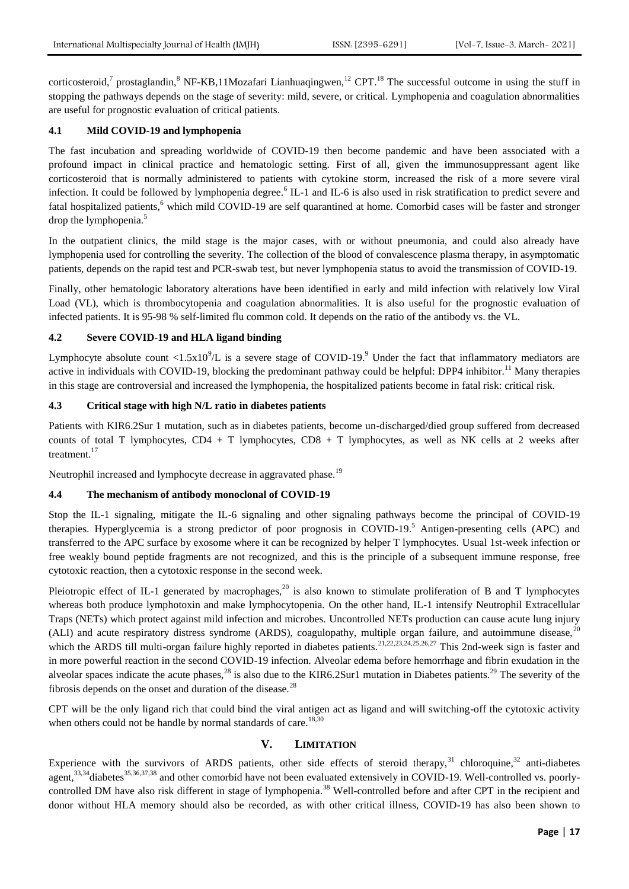corticosteroid,<sup>7</sup> prostaglandin,<sup>8</sup> NF-KB,11Mozafari Lianhuaqingwen,<sup>12</sup> CPT.<sup>18</sup> The successful outcome in using the stuff in stopping the pathways depends on the stage of severity: mild, severe, or critical. Lymphopenia and coagulation abnormalities are useful for prognostic evaluation of critical patients.

### **4.1 Mild COVID-19 and lymphopenia**

The fast incubation and spreading worldwide of COVID-19 then become pandemic and have been associated with a profound impact in clinical practice and hematologic setting. First of all, given the immunosuppressant agent like corticosteroid that is normally administered to patients with cytokine storm, increased the risk of a more severe viral infection. It could be followed by lymphopenia degree.<sup>6</sup> IL-1 and IL-6 is also used in risk stratification to predict severe and fatal hospitalized patients,<sup>6</sup> which mild COVID-19 are self quarantined at home. Comorbid cases will be faster and stronger drop the lymphopenia.<sup>5</sup>

In the outpatient clinics, the mild stage is the major cases, with or without pneumonia, and could also already have lymphopenia used for controlling the severity. The collection of the blood of convalescence plasma therapy, in asymptomatic patients, depends on the rapid test and PCR-swab test, but never lymphopenia status to avoid the transmission of COVID-19.

Finally, other hematologic laboratory alterations have been identified in early and mild infection with relatively low Viral Load (VL), which is thrombocytopenia and coagulation abnormalities. It is also useful for the prognostic evaluation of infected patients. It is 95-98 % self-limited flu common cold. It depends on the ratio of the antibody vs. the VL.

#### **4.2 Severe COVID-19 and HLA ligand binding**

Lymphocyte absolute count  $\langle 1.5x10^9/L \rangle$  is a severe stage of COVID-19.<sup>9</sup> Under the fact that inflammatory mediators are active in individuals with COVID-19, blocking the predominant pathway could be helpful: DPP4 inhibitor.<sup>11</sup> Many therapies in this stage are controversial and increased the lymphopenia, the hospitalized patients become in fatal risk: critical risk.

#### **4.3 Critical stage with high N/L ratio in diabetes patients**

Patients with KIR6.2Sur 1 mutation, such as in diabetes patients, become un-discharged/died group suffered from decreased counts of total T lymphocytes, CD4 + T lymphocytes, CD8 + T lymphocytes, as well as NK cells at 2 weeks after treatment.<sup>17</sup>

Neutrophil increased and lymphocyte decrease in aggravated phase.<sup>19</sup>

#### **4.4 The mechanism of antibody monoclonal of COVID-19**

Stop the IL-1 signaling, mitigate the IL-6 signaling and other signaling pathways become the principal of COVID-19 therapies. Hyperglycemia is a strong predictor of poor prognosis in COVID-19.<sup>5</sup> Antigen-presenting cells (APC) and transferred to the APC surface by exosome where it can be recognized by helper T lymphocytes. Usual 1st-week infection or free weakly bound peptide fragments are not recognized, and this is the principle of a subsequent immune response, free cytotoxic reaction, then a cytotoxic response in the second week.

Pleiotropic effect of IL-1 generated by macrophages,<sup>20</sup> is also known to stimulate proliferation of B and T lymphocytes whereas both produce lymphotoxin and make lymphocytopenia. On the other hand, IL-1 intensify Neutrophil Extracellular Traps (NETs) which protect against mild infection and microbes. Uncontrolled NETs production can cause acute lung injury (ALI) and acute respiratory distress syndrome (ARDS), coagulopathy, multiple organ failure, and autoimmune disease, $20$ which the ARDS till multi-organ failure highly reported in diabetes patients.<sup>21,22,23,24,25,26,27</sup> This 2nd-week sign is faster and in more powerful reaction in the second COVID-19 infection. Alveolar edema before hemorrhage and fibrin exudation in the alveolar spaces indicate the acute phases,<sup>28</sup> is also due to the KIR6.2Sur1 mutation in Diabetes patients.<sup>29</sup> The severity of the fibrosis depends on the onset and duration of the disease. $^{28}$ 

CPT will be the only ligand rich that could bind the viral antigen act as ligand and will switching-off the cytotoxic activity when others could not be handle by normal standards of care.<sup>18,30</sup>

## **V. LIMITATION**

Experience with the survivors of ARDS patients, other side effects of steroid therapy,  $31$  chloroquine,  $32$  anti-diabetes agent,  $33,34$  diabetes  $35,36,37,38$  and other comorbid have not been evaluated extensively in COVID-19. Well-controlled vs. poorlycontrolled DM have also risk different in stage of lymphopenia.<sup>38</sup> Well-controlled before and after CPT in the recipient and donor without HLA memory should also be recorded, as with other critical illness, COVID-19 has also been shown to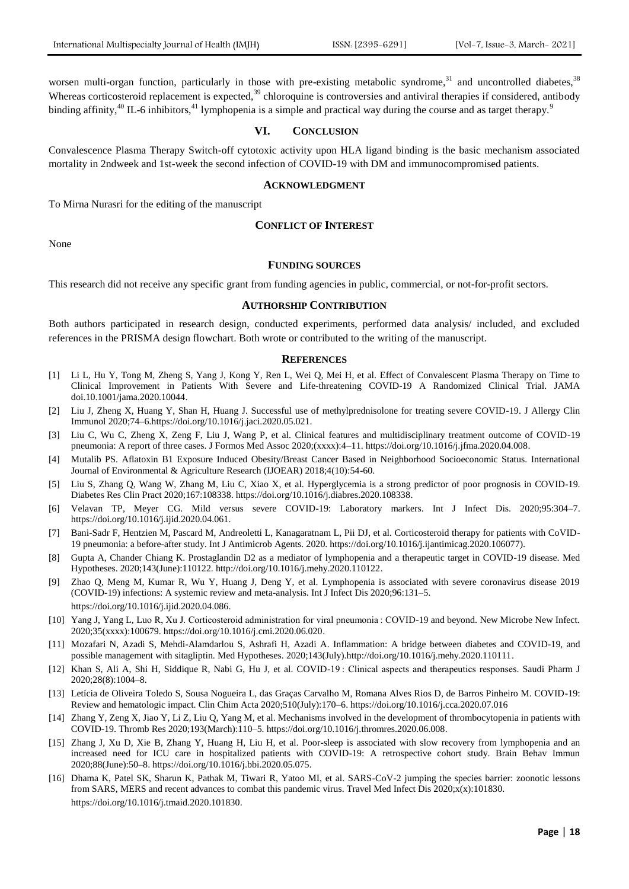worsen multi-organ function, particularly in those with pre-existing metabolic syndrome,<sup>31</sup> and uncontrolled diabetes,<sup>38</sup> Whereas corticosteroid replacement is expected, $39$  chloroquine is controversies and antiviral therapies if considered, antibody binding affinity,<sup>40</sup> IL-6 inhibitors,<sup>41</sup> lymphopenia is a simple and practical way during the course and as target therapy.<sup>9</sup>

#### **VI. CONCLUSION**

Convalescence Plasma Therapy Switch-off cytotoxic activity upon HLA ligand binding is the basic mechanism associated mortality in 2ndweek and 1st-week the second infection of COVID-19 with DM and immunocompromised patients.

#### **ACKNOWLEDGMENT**

To Mirna Nurasri for the editing of the manuscript

#### **CONFLICT OF INTEREST**

None

#### **FUNDING SOURCES**

This research did not receive any specific grant from funding agencies in public, commercial, or not-for-profit sectors.

#### **AUTHORSHIP CONTRIBUTION**

Both authors participated in research design, conducted experiments, performed data analysis/ included, and excluded references in the PRISMA design flowchart. Both wrote or contributed to the writing of the manuscript.

#### **REFERENCES**

- [1] Li L, Hu Y, Tong M, Zheng S, Yang J, Kong Y, Ren L, Wei Q, Mei H, et al. Effect of Convalescent Plasma Therapy on Time to Clinical Improvement in Patients With Severe and Life-threatening COVID-19 A Randomized Clinical Trial. JAMA doi.10.1001/jama.2020.10044.
- [2] Liu J, Zheng X, Huang Y, Shan H, Huang J. Successful use of methylprednisolone for treating severe COVID-19. J Allergy Clin Immunol 2020;74–6.https://doi.org/10.1016/j.jaci.2020.05.021.
- [3] Liu C, Wu C, Zheng X, Zeng F, Liu J, Wang P, et al. Clinical features and multidisciplinary treatment outcome of COVID-19 pneumonia: A report of three cases. J Formos Med Assoc 2020;(xxxx):4–11. https://doi.org/10.1016/j.jfma.2020.04.008.
- [4] Mutalib PS. Aflatoxin B1 Exposure Induced Obesity/Breast Cancer Based in Neighborhood Socioeconomic Status. International Journal of Environmental & Agriculture Research (IJOEAR) 2018;4(10):54-60.
- [5] Liu S, Zhang Q, Wang W, Zhang M, Liu C, Xiao X, et al. Hyperglycemia is a strong predictor of poor prognosis in COVID-19. Diabetes Res Clin Pract 2020;167:108338. https://doi.org/10.1016/j.diabres.2020.108338.
- [6] Velavan TP, Meyer CG. Mild versus severe COVID-19: Laboratory markers. Int J Infect Dis. 2020;95:304–7. https://doi.org/10.1016/j.ijid.2020.04.061.
- [7] Bani-Sadr F, Hentzien M, Pascard M, Andreoletti L, Kanagaratnam L, Pii DJ, et al. Corticosteroid therapy for patients with CoVID-19 pneumonia: a before-after study. Int J Antimicrob Agents. 2020. https://doi.org/10.1016/j.ijantimicag.2020.106077).
- [8] Gupta A, Chander Chiang K. Prostaglandin D2 as a mediator of lymphopenia and a therapeutic target in COVID-19 disease. Med Hypotheses. 2020;143(June):110122. http://doi.org/10.1016/j.mehy.2020.110122.
- [9] Zhao Q, Meng M, Kumar R, Wu Y, Huang J, Deng Y, et al. Lymphopenia is associated with severe coronavirus disease 2019 (COVID-19) infections: A systemic review and meta-analysis. Int J Infect Dis 2020;96:131–5. https://doi.org/10.1016/j.ijid.2020.04.086.
- [10] Yang J, Yang L, Luo R, Xu J. Corticosteroid administration for viral pneumonia : COVID-19 and beyond. New Microbe New Infect. 2020;35(xxxx):100679. https://doi.org/10.1016/j.cmi.2020.06.020.
- [11] Mozafari N, Azadi S, Mehdi-Alamdarlou S, Ashrafi H, Azadi A. Inflammation: A bridge between diabetes and COVID-19, and possible management with sitagliptin. Med Hypotheses. 2020;143(July).http://doi.org/10.1016/j.mehy.2020.110111.
- [12] Khan S, Ali A, Shi H, Siddique R, Nabi G, Hu J, et al. COVID-19 : Clinical aspects and therapeutics responses. Saudi Pharm J 2020;28(8):1004–8.
- [13] Letícia de Oliveira Toledo S, Sousa Nogueira L, das Graças Carvalho M, Romana Alves Rios D, de Barros Pinheiro M. COVID-19: Review and hematologic impact. Clin Chim Acta 2020;510(July):170–6. https://doi.org/10.1016/j.cca.2020.07.016
- [14] Zhang Y, Zeng X, Jiao Y, Li Z, Liu Q, Yang M, et al. Mechanisms involved in the development of thrombocytopenia in patients with COVID-19. Thromb Res 2020;193(March):110–5. https://doi.org/10.1016/j.thromres.2020.06.008.
- [15] Zhang J, Xu D, Xie B, Zhang Y, Huang H, Liu H, et al. Poor-sleep is associated with slow recovery from lymphopenia and an increased need for ICU care in hospitalized patients with COVID-19: A retrospective cohort study. Brain Behav Immun 2020;88(June):50–8. https://doi.org/10.1016/j.bbi.2020.05.075.
- [16] Dhama K, Patel SK, Sharun K, Pathak M, Tiwari R, Yatoo MI, et al. SARS-CoV-2 jumping the species barrier: zoonotic lessons from SARS, MERS and recent advances to combat this pandemic virus. Travel Med Infect Dis 2020;x(x):101830. https://doi.org/10.1016/j.tmaid.2020.101830.